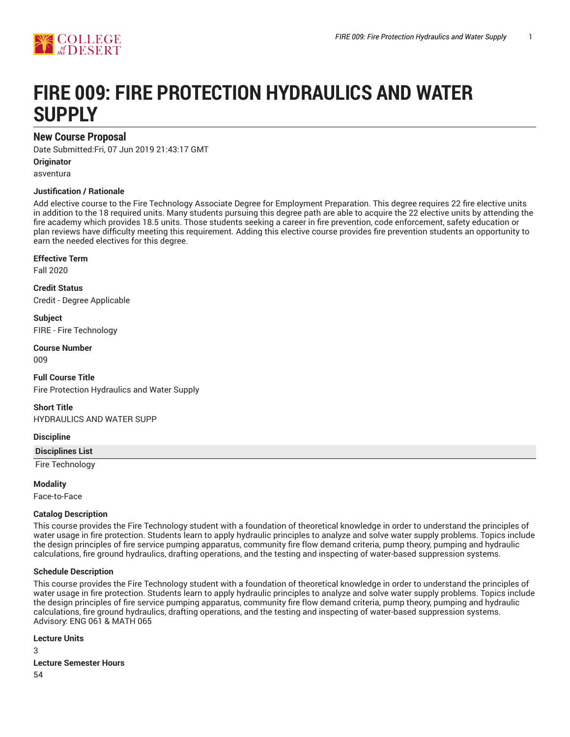

# **FIRE 009: FIRE PROTECTION HYDRAULICS AND WATER SUPPLY**

# **New Course Proposal**

Date Submitted:Fri, 07 Jun 2019 21:43:17 GMT

**Originator**

asventura

#### **Justification / Rationale**

Add elective course to the Fire Technology Associate Degree for Employment Preparation. This degree requires 22 fire elective units in addition to the 18 required units. Many students pursuing this degree path are able to acquire the 22 elective units by attending the fire academy which provides 18.5 units. Those students seeking a career in fire prevention, code enforcement, safety education or plan reviews have difficulty meeting this requirement. Adding this elective course provides fire prevention students an opportunity to earn the needed electives for this degree.

#### **Effective Term**

Fall 2020

**Credit Status** Credit - Degree Applicable

**Subject** FIRE - Fire Technology

**Course Number**

009

**Full Course Title** Fire Protection Hydraulics and Water Supply

**Short Title** HYDRAULICS AND WATER SUPP

#### **Discipline**

**Disciplines List**

Fire Technology

**Modality**

Face-to-Face

#### **Catalog Description**

This course provides the Fire Technology student with a foundation of theoretical knowledge in order to understand the principles of water usage in fire protection. Students learn to apply hydraulic principles to analyze and solve water supply problems. Topics include the design principles of fire service pumping apparatus, community fire flow demand criteria, pump theory, pumping and hydraulic calculations, fire ground hydraulics, drafting operations, and the testing and inspecting of water-based suppression systems.

#### **Schedule Description**

This course provides the Fire Technology student with a foundation of theoretical knowledge in order to understand the principles of water usage in fire protection. Students learn to apply hydraulic principles to analyze and solve water supply problems. Topics include the design principles of fire service pumping apparatus, community fire flow demand criteria, pump theory, pumping and hydraulic calculations, fire ground hydraulics, drafting operations, and the testing and inspecting of water-based suppression systems. Advisory: ENG 061 & MATH 065

**Lecture Units**

3 **Lecture Semester Hours** 54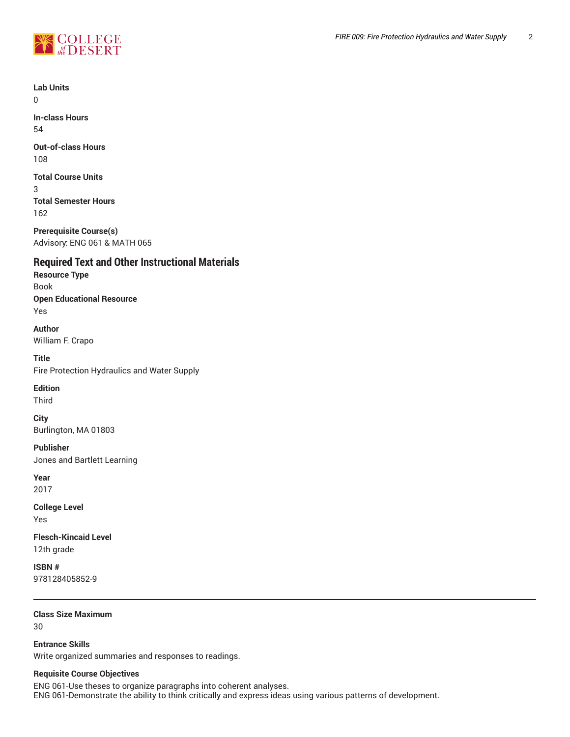

**Lab Units**  $\Omega$ **In-class Hours** 54 **Out-of-class Hours** 108 **Total Course Units** 3 **Total Semester Hours** 162 **Prerequisite Course(s)** Advisory: ENG 061 & MATH 065 **Required Text and Other Instructional Materials Resource Type** Book **Open Educational Resource** Yes **Author** William F. Crapo **Title** Fire Protection Hydraulics and Water Supply **Edition** Third **City** Burlington, MA 01803 **Publisher** Jones and Bartlett Learning **Year** 2017 **College Level** Yes **Flesch-Kincaid Level** 12th grade **ISBN #** 978128405852-9

**Class Size Maximum** 30

**Entrance Skills** Write organized summaries and responses to readings.

## **Requisite Course Objectives**

ENG 061-Use theses to organize paragraphs into coherent analyses. ENG 061-Demonstrate the ability to think critically and express ideas using various patterns of development.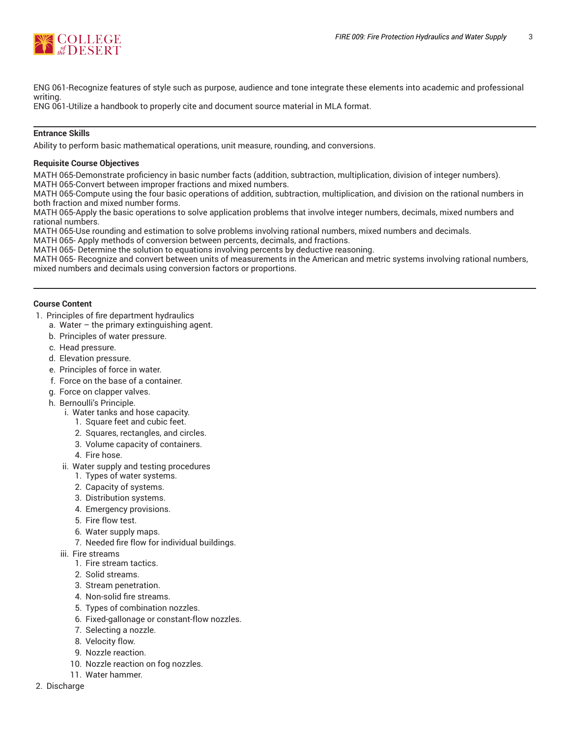

ENG 061-Recognize features of style such as purpose, audience and tone integrate these elements into academic and professional writing.

ENG 061-Utilize a handbook to properly cite and document source material in MLA format.

#### **Entrance Skills**

Ability to perform basic mathematical operations, unit measure, rounding, and conversions.

#### **Requisite Course Objectives**

MATH 065-Demonstrate proficiency in basic number facts (addition, subtraction, multiplication, division of integer numbers). MATH 065-Convert between improper fractions and mixed numbers.

MATH 065-Compute using the four basic operations of addition, subtraction, multiplication, and division on the rational numbers in both fraction and mixed number forms.

MATH 065-Apply the basic operations to solve application problems that involve integer numbers, decimals, mixed numbers and rational numbers.

MATH 065-Use rounding and estimation to solve problems involving rational numbers, mixed numbers and decimals.

MATH 065- Apply methods of conversion between percents, decimals, and fractions.

MATH 065- Determine the solution to equations involving percents by deductive reasoning.

MATH 065- Recognize and convert between units of measurements in the American and metric systems involving rational numbers, mixed numbers and decimals using conversion factors or proportions.

#### **Course Content**

- 1. Principles of fire department hydraulics
	- a. Water  $-$  the primary extinguishing agent.
	- b. Principles of water pressure.
	- c. Head pressure.
	- d. Elevation pressure.
	- e. Principles of force in water.
	- f. Force on the base of a container.
	- g. Force on clapper valves.
	- h. Bernoulli's Principle.
		- i. Water tanks and hose capacity.
			- 1. Square feet and cubic feet.
			- 2. Squares, rectangles, and circles.
			- 3. Volume capacity of containers.
			- 4. Fire hose.
		- ii. Water supply and testing procedures
			- 1. Types of water systems.
			- 2. Capacity of systems.
			- 3. Distribution systems.
			- 4. Emergency provisions.
			- 5. Fire flow test.
			- 6. Water supply maps.
			- 7. Needed fire flow for individual buildings.
		- iii. Fire streams
			- 1. Fire stream tactics.
			- 2. Solid streams.
			- 3. Stream penetration.
			- 4. Non-solid fire streams.
			- 5. Types of combination nozzles.
			- 6. Fixed-gallonage or constant-flow nozzles.
			- 7. Selecting a nozzle.
			- 8. Velocity flow.
			- 9. Nozzle reaction.
			- 10. Nozzle reaction on fog nozzles.
			- 11. Water hammer.
- 2. Discharge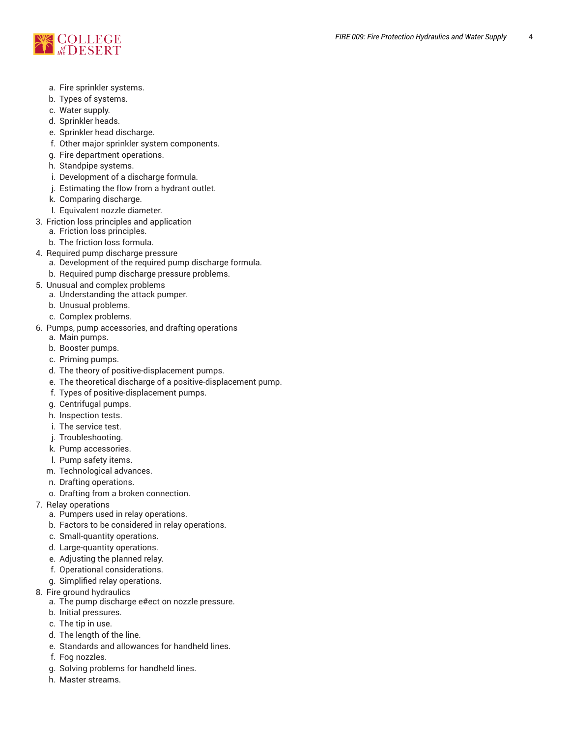

- a. Fire sprinkler systems.
- b. Types of systems.
- c. Water supply.
- d. Sprinkler heads.
- e. Sprinkler head discharge.
- f. Other major sprinkler system components.
- g. Fire department operations.
- h. Standpipe systems.
- i. Development of a discharge formula.
- j. Estimating the flow from a hydrant outlet.
- k. Comparing discharge.
- l. Equivalent nozzle diameter.
- 3. Friction loss principles and application
	- a. Friction loss principles.
	- b. The friction loss formula.
- 4. Required pump discharge pressure
	- a. Development of the required pump discharge formula.
	- b. Required pump discharge pressure problems.
- 5. Unusual and complex problems
	- a. Understanding the attack pumper.
	- b. Unusual problems.
	- c. Complex problems.
- 6. Pumps, pump accessories, and drafting operations
	- a. Main pumps.
	- b. Booster pumps.
	- c. Priming pumps.
	- d. The theory of positive-displacement pumps.
	- e. The theoretical discharge of a positive-displacement pump.
	- f. Types of positive-displacement pumps.
	- g. Centrifugal pumps.
	- h. Inspection tests.
	- i. The service test.
	- j. Troubleshooting.
	- k. Pump accessories.
	- l. Pump safety items.
	- m. Technological advances.
	- n. Drafting operations.
	- o. Drafting from a broken connection.
- 7. Relay operations
	- a. Pumpers used in relay operations.
	- b. Factors to be considered in relay operations.
	- c. Small-quantity operations.
	- d. Large-quantity operations.
	- e. Adjusting the planned relay.
	- f. Operational considerations.
	- g. Simplified relay operations.
- 8. Fire ground hydraulics
	- a. The pump discharge e#ect on nozzle pressure.
	- b. Initial pressures.
	- c. The tip in use.
	- d. The length of the line.
	- e. Standards and allowances for handheld lines.
	- f. Fog nozzles.
	- g. Solving problems for handheld lines.
	- h. Master streams.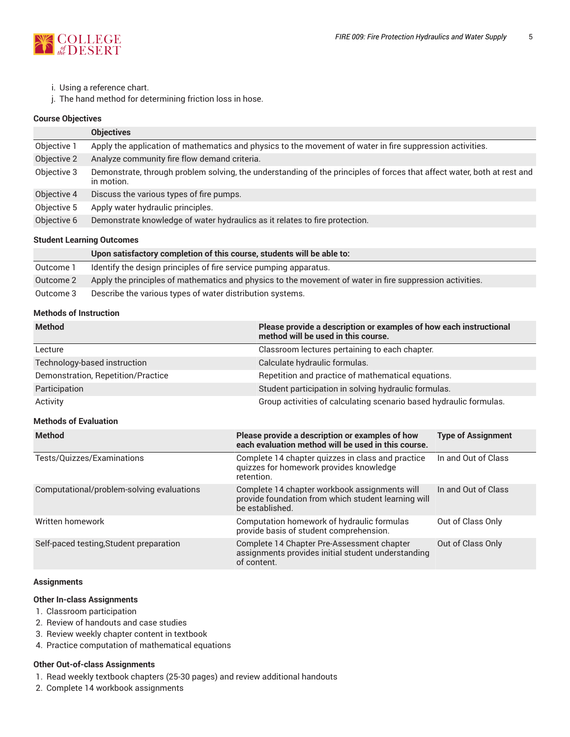

- i. Using a reference chart.
- j. The hand method for determining friction loss in hose.

#### **Course Objectives**

|             | <b>Objectives</b>                                                                                                                     |  |
|-------------|---------------------------------------------------------------------------------------------------------------------------------------|--|
| Objective 1 | Apply the application of mathematics and physics to the movement of water in fire suppression activities.                             |  |
| Objective 2 | Analyze community fire flow demand criteria.                                                                                          |  |
| Objective 3 | Demonstrate, through problem solving, the understanding of the principles of forces that affect water, both at rest and<br>in motion. |  |
| Objective 4 | Discuss the various types of fire pumps.                                                                                              |  |
| Objective 5 | Apply water hydraulic principles.                                                                                                     |  |
| Objective 6 | Demonstrate knowledge of water hydraulics as it relates to fire protection.                                                           |  |

#### **Student Learning Outcomes**

|           | Upon satisfactory completion of this course, students will be able to:                                   |
|-----------|----------------------------------------------------------------------------------------------------------|
| Outcome 1 | Identify the design principles of fire service pumping apparatus.                                        |
| Outcome 2 | Apply the principles of mathematics and physics to the movement of water in fire suppression activities. |
| Outcome 3 | Describe the various types of water distribution systems.                                                |

## **Methods of Instruction**

| <b>Method</b>                             | Please provide a description or examples of how each instructional<br>method will be used in this course.               |                                                                    |  |  |
|-------------------------------------------|-------------------------------------------------------------------------------------------------------------------------|--------------------------------------------------------------------|--|--|
| Lecture                                   | Classroom lectures pertaining to each chapter.                                                                          |                                                                    |  |  |
| Technology-based instruction              | Calculate hydraulic formulas.                                                                                           |                                                                    |  |  |
| Demonstration, Repetition/Practice        |                                                                                                                         | Repetition and practice of mathematical equations.                 |  |  |
| Participation                             |                                                                                                                         | Student participation in solving hydraulic formulas.               |  |  |
| Activity                                  |                                                                                                                         | Group activities of calculating scenario based hydraulic formulas. |  |  |
| <b>Methods of Evaluation</b>              |                                                                                                                         |                                                                    |  |  |
| <b>Method</b>                             | Please provide a description or examples of how<br>each evaluation method will be used in this course.                  | <b>Type of Assignment</b>                                          |  |  |
| Tests/Quizzes/Examinations                | Complete 14 chapter quizzes in class and practice<br>quizzes for homework provides knowledge<br>retention.              | In and Out of Class                                                |  |  |
| Computational/problem-solving evaluations | Complete 14 chapter workbook assignments will<br>provide foundation from which student learning will<br>be established. | In and Out of Class                                                |  |  |
| Written homework                          | Computation homework of hydraulic formulas<br>provide basis of student comprehension.                                   | Out of Class Only                                                  |  |  |
| Self-paced testing, Student preparation   | Complete 14 Chapter Pre-Assessment chapter                                                                              | Out of Class Only                                                  |  |  |

of content.

assignments provides initial student understanding

#### **Assignments**

#### **Other In-class Assignments**

- 1. Classroom participation
- 2. Review of handouts and case studies
- 3. Review weekly chapter content in textbook
- 4. Practice computation of mathematical equations

#### **Other Out-of-class Assignments**

- 1. Read weekly textbook chapters (25-30 pages) and review additional handouts
- 2. Complete 14 workbook assignments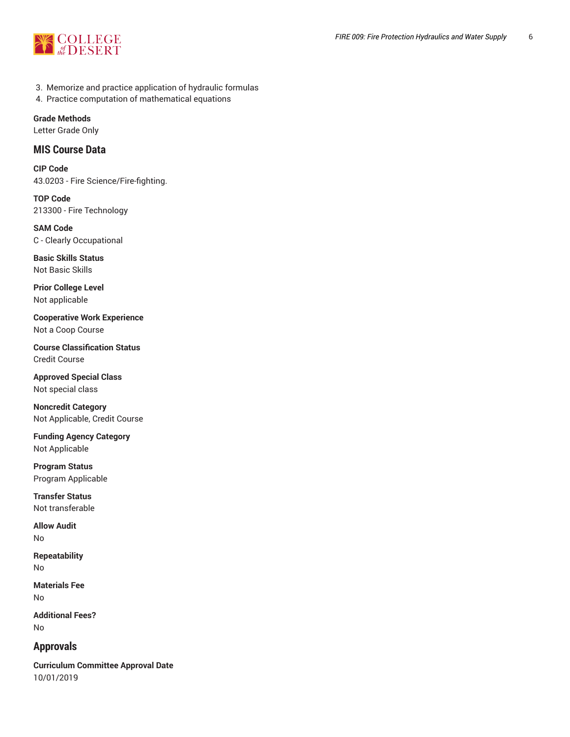

- 3. Memorize and practice application of hydraulic formulas
- 4. Practice computation of mathematical equations

## **Grade Methods**

Letter Grade Only

## **MIS Course Data**

**CIP Code** 43.0203 - Fire Science/Fire-fighting.

**TOP Code** 213300 - Fire Technology

**SAM Code** C - Clearly Occupational

**Basic Skills Status** Not Basic Skills

**Prior College Level** Not applicable

**Cooperative Work Experience** Not a Coop Course

**Course Classification Status** Credit Course

**Approved Special Class** Not special class

**Noncredit Category** Not Applicable, Credit Course

**Funding Agency Category** Not Applicable

**Program Status** Program Applicable

**Transfer Status** Not transferable

**Allow Audit** No

**Repeatability** No

**Materials Fee** No

**Additional Fees?** No

# **Approvals**

**Curriculum Committee Approval Date** 10/01/2019